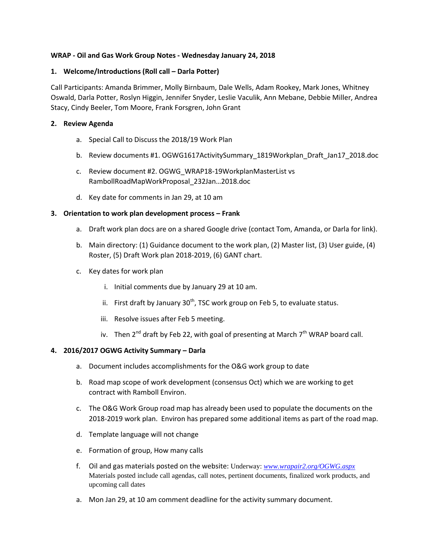## **WRAP - Oil and Gas Work Group Notes - Wednesday January 24, 2018**

## **1. Welcome/Introductions (Roll call – Darla Potter)**

Call Participants: Amanda Brimmer, Molly Birnbaum, Dale Wells, Adam Rookey, Mark Jones, Whitney Oswald, Darla Potter, Roslyn Higgin, Jennifer Snyder, Leslie Vaculik, Ann Mebane, Debbie Miller, Andrea Stacy, Cindy Beeler, Tom Moore, Frank Forsgren, John Grant

# **2. Review Agenda**

- a. Special Call to Discuss the 2018/19 Work Plan
- b. Review documents #1. OGWG1617ActivitySummary\_1819Workplan\_Draft\_Jan17\_2018.doc
- c. Review document #2. OGWG\_WRAP18-19WorkplanMasterList vs RambollRoadMapWorkProposal\_232Jan…2018.doc
- d. Key date for comments in Jan 29, at 10 am

# **3. Orientation to work plan development process – Frank**

- a. Draft work plan docs are on a shared Google drive (contact Tom, Amanda, or Darla for link).
- b. Main directory: (1) Guidance document to the work plan, (2) Master list, (3) User guide, (4) Roster, (5) Draft Work plan 2018-2019, (6) GANT chart.
- c. Key dates for work plan
	- i. Initial comments due by January 29 at 10 am.
	- ii. First draft by January 30<sup>th</sup>, TSC work group on Feb 5, to evaluate status.
	- iii. Resolve issues after Feb 5 meeting.
	- iv. Then  $2^{nd}$  draft by Feb 22, with goal of presenting at March  $7^{th}$  WRAP board call.

### **4. 2016/2017 OGWG Activity Summary – Darla**

- a. Document includes accomplishments for the O&G work group to date
- b. Road map scope of work development (consensus Oct) which we are working to get contract with Ramboll Environ.
- c. The O&G Work Group road map has already been used to populate the documents on the 2018-2019 work plan. Environ has prepared some additional items as part of the road map.
- d. Template language will not change
- e. Formation of group, How many calls
- f. Oil and gas materials posted on the website: Underway: *[www.wrapair2.org/OGWG.aspx](http://www.wrapair2.org/OGWG.aspx)* Materials posted include call agendas, call notes, pertinent documents, finalized work products, and upcoming call dates
- a. Mon Jan 29, at 10 am comment deadline for the activity summary document.